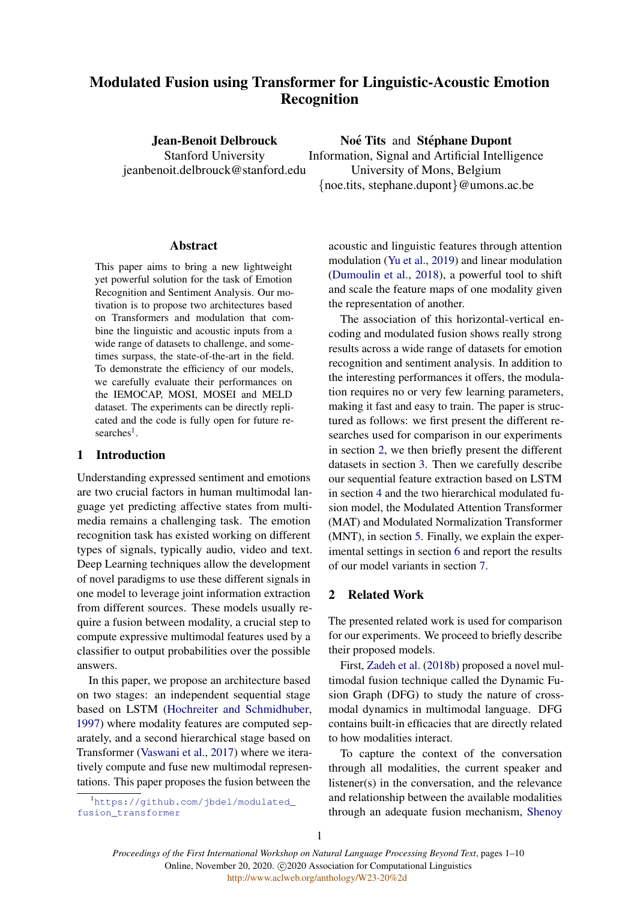# Modulated Fusion using Transformer for Linguistic-Acoustic Emotion Recognition

Jean-Benoit Delbrouck Stanford University jeanbenoit.delbrouck@stanford.edu

Noé Tits and Stéphane Dupont Information, Signal and Artificial Intelligence University of Mons, Belgium {noe.tits, stephane.dupont}@umons.ac.be

## Abstract

This paper aims to bring a new lightweight yet powerful solution for the task of Emotion Recognition and Sentiment Analysis. Our motivation is to propose two architectures based on Transformers and modulation that combine the linguistic and acoustic inputs from a wide range of datasets to challenge, and sometimes surpass, the state-of-the-art in the field. To demonstrate the efficiency of our models, we carefully evaluate their performances on the IEMOCAP, MOSI, MOSEI and MELD dataset. The experiments can be directly replicated and the code is fully open for future re-searches<sup>[1](#page-0-0)</sup>.

## 1 Introduction

Understanding expressed sentiment and emotions are two crucial factors in human multimodal language yet predicting affective states from multimedia remains a challenging task. The emotion recognition task has existed working on different types of signals, typically audio, video and text. Deep Learning techniques allow the development of novel paradigms to use these different signals in one model to leverage joint information extraction from different sources. These models usually require a fusion between modality, a crucial step to compute expressive multimodal features used by a classifier to output probabilities over the possible answers.

In this paper, we propose an architecture based on two stages: an independent sequential stage based on LSTM [\(Hochreiter and Schmidhuber,](#page-8-0) [1997\)](#page-8-0) where modality features are computed separately, and a second hierarchical stage based on Transformer [\(Vaswani et al.,](#page-8-1) [2017\)](#page-8-1) where we iteratively compute and fuse new multimodal representations. This paper proposes the fusion between the

<span id="page-0-0"></span><sup>1</sup>[https://github.com/jbdel/modulated\\_](https://github.com/jbdel/modulated_fusion_transformer) [fusion\\_transformer](https://github.com/jbdel/modulated_fusion_transformer)

acoustic and linguistic features through attention modulation [\(Yu et al.,](#page-9-0) [2019\)](#page-9-0) and linear modulation [\(Dumoulin et al.,](#page-8-2) [2018\)](#page-8-2), a powerful tool to shift and scale the feature maps of one modality given the representation of another.

The association of this horizontal-vertical encoding and modulated fusion shows really strong results across a wide range of datasets for emotion recognition and sentiment analysis. In addition to the interesting performances it offers, the modulation requires no or very few learning parameters, making it fast and easy to train. The paper is structured as follows: we first present the different researches used for comparison in our experiments in section [2,](#page-0-1) we then briefly present the different datasets in section [3.](#page-1-0) Then we carefully describe our sequential feature extraction based on LSTM in section [4](#page-2-0) and the two hierarchical modulated fusion model, the Modulated Attention Transformer (MAT) and Modulated Normalization Transformer (MNT), in section [5.](#page-2-1) Finally, we explain the experimental settings in section [6](#page-4-0) and report the results of our model variants in section [7.](#page-5-0)

# <span id="page-0-1"></span>2 Related Work

The presented related work is used for comparison for our experiments. We proceed to briefly describe their proposed models.

First, [Zadeh et al.](#page-9-1) [\(2018b\)](#page-9-1) proposed a novel multimodal fusion technique called the Dynamic Fusion Graph (DFG) to study the nature of crossmodal dynamics in multimodal language. DFG contains built-in efficacies that are directly related to how modalities interact.

To capture the context of the conversation through all modalities, the current speaker and listener(s) in the conversation, and the relevance and relationship between the available modalities through an adequate fusion mechanism, [Shenoy](#page-8-3)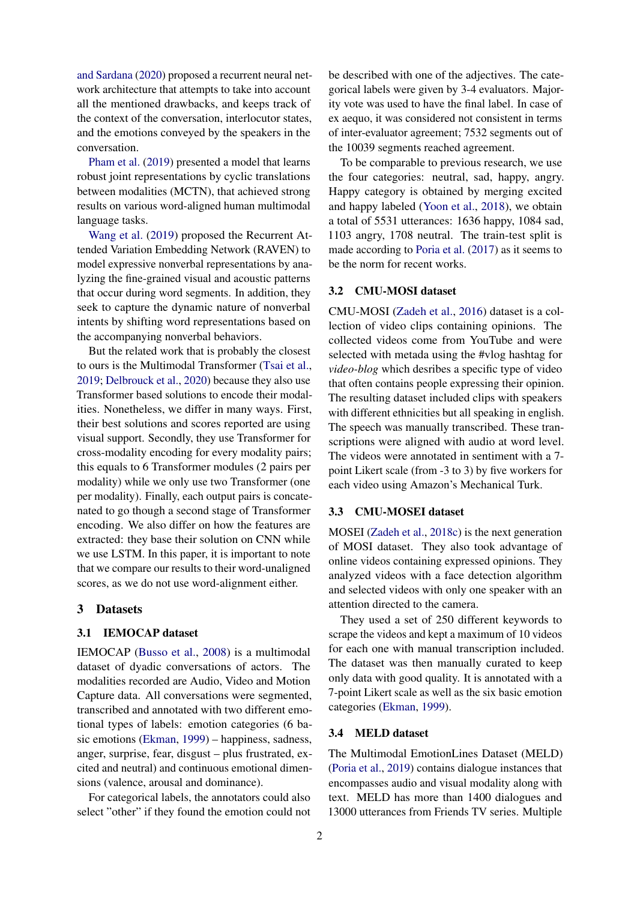[and Sardana](#page-8-3) [\(2020\)](#page-8-3) proposed a recurrent neural network architecture that attempts to take into account all the mentioned drawbacks, and keeps track of the context of the conversation, interlocutor states, and the emotions conveyed by the speakers in the conversation.

[Pham et al.](#page-8-4) [\(2019\)](#page-8-4) presented a model that learns robust joint representations by cyclic translations between modalities (MCTN), that achieved strong results on various word-aligned human multimodal language tasks.

[Wang et al.](#page-9-2) [\(2019\)](#page-9-2) proposed the Recurrent Attended Variation Embedding Network (RAVEN) to model expressive nonverbal representations by analyzing the fine-grained visual and acoustic patterns that occur during word segments. In addition, they seek to capture the dynamic nature of nonverbal intents by shifting word representations based on the accompanying nonverbal behaviors.

But the related work that is probably the closest to ours is the Multimodal Transformer [\(Tsai et al.,](#page-8-5) [2019;](#page-8-5) [Delbrouck et al.,](#page-8-6) [2020\)](#page-8-6) because they also use Transformer based solutions to encode their modalities. Nonetheless, we differ in many ways. First, their best solutions and scores reported are using visual support. Secondly, they use Transformer for cross-modality encoding for every modality pairs; this equals to 6 Transformer modules (2 pairs per modality) while we only use two Transformer (one per modality). Finally, each output pairs is concatenated to go though a second stage of Transformer encoding. We also differ on how the features are extracted: they base their solution on CNN while we use LSTM. In this paper, it is important to note that we compare our results to their word-unaligned scores, as we do not use word-alignment either.

#### <span id="page-1-0"></span>3 Datasets

#### 3.1 IEMOCAP dataset

IEMOCAP [\(Busso et al.,](#page-8-7) [2008\)](#page-8-7) is a multimodal dataset of dyadic conversations of actors. The modalities recorded are Audio, Video and Motion Capture data. All conversations were segmented, transcribed and annotated with two different emotional types of labels: emotion categories (6 basic emotions [\(Ekman,](#page-8-8) [1999\)](#page-8-8) – happiness, sadness, anger, surprise, fear, disgust – plus frustrated, excited and neutral) and continuous emotional dimensions (valence, arousal and dominance).

For categorical labels, the annotators could also select "other" if they found the emotion could not be described with one of the adjectives. The categorical labels were given by 3-4 evaluators. Majority vote was used to have the final label. In case of ex aequo, it was considered not consistent in terms of inter-evaluator agreement; 7532 segments out of the 10039 segments reached agreement.

To be comparable to previous research, we use the four categories: neutral, sad, happy, angry. Happy category is obtained by merging excited and happy labeled [\(Yoon et al.,](#page-9-3) [2018\)](#page-9-3), we obtain a total of 5531 utterances: 1636 happy, 1084 sad, 1103 angry, 1708 neutral. The train-test split is made according to [Poria et al.](#page-8-9) [\(2017\)](#page-8-9) as it seems to be the norm for recent works.

## 3.2 CMU-MOSI dataset

CMU-MOSI [\(Zadeh et al.,](#page-9-4) [2016\)](#page-9-4) dataset is a collection of video clips containing opinions. The collected videos come from YouTube and were selected with metada using the #vlog hashtag for *video-blog* which desribes a specific type of video that often contains people expressing their opinion. The resulting dataset included clips with speakers with different ethnicities but all speaking in english. The speech was manually transcribed. These transcriptions were aligned with audio at word level. The videos were annotated in sentiment with a 7 point Likert scale (from -3 to 3) by five workers for each video using Amazon's Mechanical Turk.

## 3.3 CMU-MOSEI dataset

MOSEI [\(Zadeh et al.,](#page-9-5) [2018c\)](#page-9-5) is the next generation of MOSI dataset. They also took advantage of online videos containing expressed opinions. They analyzed videos with a face detection algorithm and selected videos with only one speaker with an attention directed to the camera.

They used a set of 250 different keywords to scrape the videos and kept a maximum of 10 videos for each one with manual transcription included. The dataset was then manually curated to keep only data with good quality. It is annotated with a 7-point Likert scale as well as the six basic emotion categories [\(Ekman,](#page-8-8) [1999\)](#page-8-8).

#### 3.4 MELD dataset

The Multimodal EmotionLines Dataset (MELD) [\(Poria et al.,](#page-8-10) [2019\)](#page-8-10) contains dialogue instances that encompasses audio and visual modality along with text. MELD has more than 1400 dialogues and 13000 utterances from Friends TV series. Multiple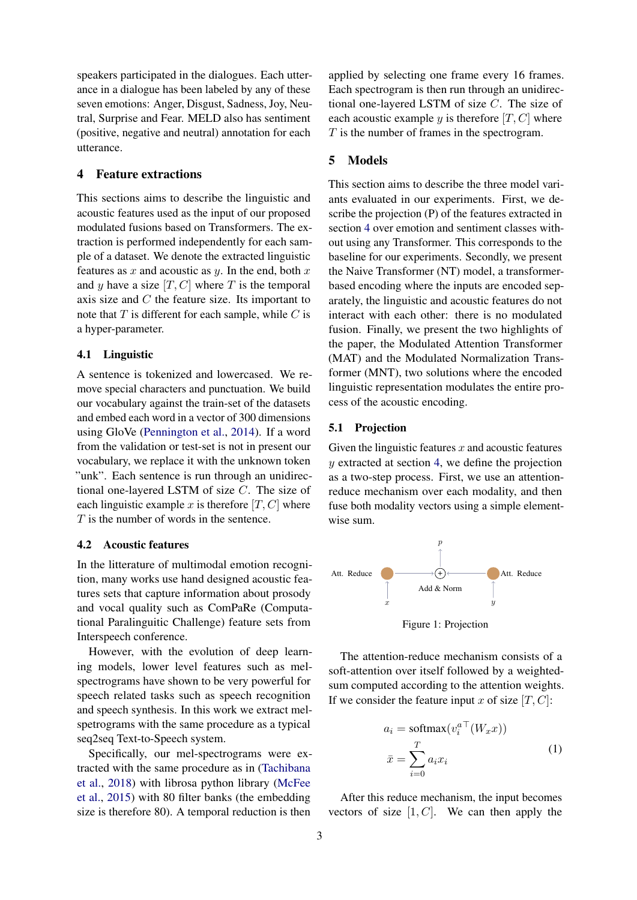speakers participated in the dialogues. Each utterance in a dialogue has been labeled by any of these seven emotions: Anger, Disgust, Sadness, Joy, Neutral, Surprise and Fear. MELD also has sentiment (positive, negative and neutral) annotation for each utterance.

# <span id="page-2-0"></span>4 Feature extractions

This sections aims to describe the linguistic and acoustic features used as the input of our proposed modulated fusions based on Transformers. The extraction is performed independently for each sample of a dataset. We denote the extracted linguistic features as  $x$  and acoustic as  $y$ . In the end, both  $x$ and y have a size  $[T, C]$  where T is the temporal axis size and C the feature size. Its important to note that  $T$  is different for each sample, while  $C$  is a hyper-parameter.

#### 4.1 Linguistic

A sentence is tokenized and lowercased. We remove special characters and punctuation. We build our vocabulary against the train-set of the datasets and embed each word in a vector of 300 dimensions using GloVe [\(Pennington et al.,](#page-8-11) [2014\)](#page-8-11). If a word from the validation or test-set is not in present our vocabulary, we replace it with the unknown token "unk". Each sentence is run through an unidirectional one-layered LSTM of size C. The size of each linguistic example x is therefore  $[T, C]$  where T is the number of words in the sentence.

## 4.2 Acoustic features

In the litterature of multimodal emotion recognition, many works use hand designed acoustic features sets that capture information about prosody and vocal quality such as ComPaRe (Computational Paralinguitic Challenge) feature sets from Interspeech conference.

However, with the evolution of deep learning models, lower level features such as melspectrograms have shown to be very powerful for speech related tasks such as speech recognition and speech synthesis. In this work we extract melspetrograms with the same procedure as a typical seq2seq Text-to-Speech system.

Specifically, our mel-spectrograms were extracted with the same procedure as in [\(Tachibana](#page-8-12) [et al.,](#page-8-12) [2018\)](#page-8-12) with librosa python library [\(McFee](#page-8-13) [et al.,](#page-8-13) [2015\)](#page-8-13) with 80 filter banks (the embedding size is therefore 80). A temporal reduction is then

applied by selecting one frame every 16 frames. Each spectrogram is then run through an unidirectional one-layered LSTM of size C. The size of each acoustic example y is therefore  $[T, C]$  where T is the number of frames in the spectrogram.

# <span id="page-2-1"></span>5 Models

This section aims to describe the three model variants evaluated in our experiments. First, we describe the projection (P) of the features extracted in section [4](#page-2-0) over emotion and sentiment classes without using any Transformer. This corresponds to the baseline for our experiments. Secondly, we present the Naive Transformer (NT) model, a transformerbased encoding where the inputs are encoded separately, the linguistic and acoustic features do not interact with each other: there is no modulated fusion. Finally, we present the two highlights of the paper, the Modulated Attention Transformer (MAT) and the Modulated Normalization Transformer (MNT), two solutions where the encoded linguistic representation modulates the entire process of the acoustic encoding.

## <span id="page-2-2"></span>5.1 Projection

Given the linguistic features  $x$  and acoustic features  $y$  extracted at section [4,](#page-2-0) we define the projection as a two-step process. First, we use an attentionreduce mechanism over each modality, and then fuse both modality vectors using a simple elementwise sum.



Figure 1: Projection

The attention-reduce mechanism consists of a soft-attention over itself followed by a weightedsum computed according to the attention weights. If we consider the feature input x of size  $[T, C]$ :

$$
a_i = \text{softmax}(v_i^{a \top}(W_x x))
$$

$$
\bar{x} = \sum_{i=0}^{T} a_i x_i
$$
 (1)

After this reduce mechanism, the input becomes vectors of size  $[1, C]$ . We can then apply the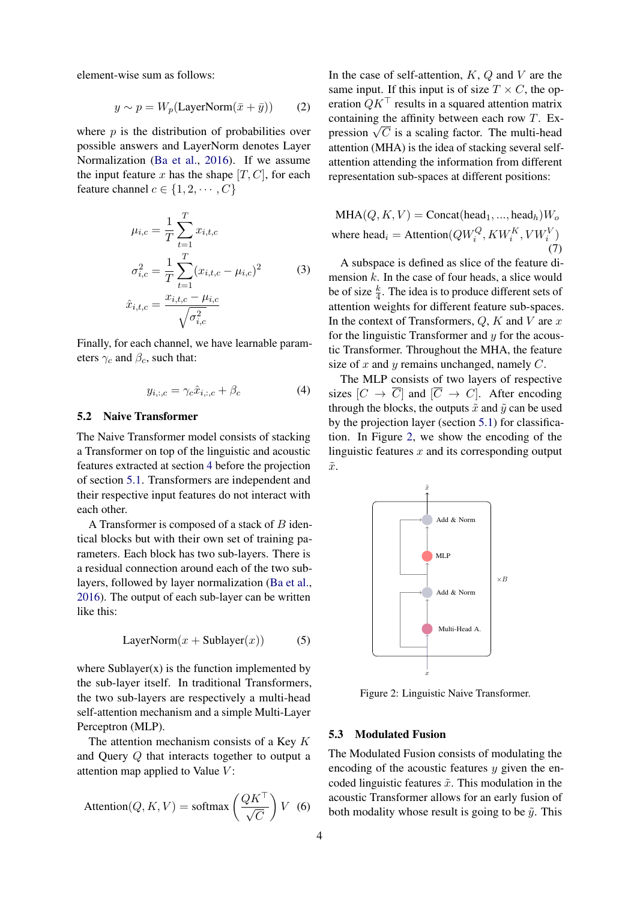<span id="page-3-2"></span>element-wise sum as follows:

$$
y \sim p = W_p(\text{LayerNorm}(\bar{x} + \bar{y})) \tag{2}
$$

where  $p$  is the distribution of probabilities over possible answers and LayerNorm denotes Layer Normalization [\(Ba et al.,](#page-8-14) [2016\)](#page-8-14). If we assume the input feature x has the shape  $[T, C]$ , for each feature channel  $c \in \{1, 2, \cdots, C\}$ 

$$
\mu_{i,c} = \frac{1}{T} \sum_{t=1}^{T} x_{i,t,c}
$$
\n
$$
\sigma_{i,c}^{2} = \frac{1}{T} \sum_{t=1}^{T} (x_{i,t,c} - \mu_{i,c})^{2}
$$
\n
$$
\hat{x}_{i,t,c} = \frac{x_{i,t,c} - \mu_{i,c}}{\sqrt{\sigma_{i,c}^{2}}}
$$
\n(3)

<span id="page-3-1"></span>Finally, for each channel, we have learnable parameters  $\gamma_c$  and  $\beta_c$ , such that:

$$
y_{i,:,c} = \gamma_c \hat{x}_{i,:,c} + \beta_c \tag{4}
$$

# 5.2 Naive Transformer

The Naive Transformer model consists of stacking a Transformer on top of the linguistic and acoustic features extracted at section [4](#page-2-0) before the projection of section [5.1.](#page-2-2) Transformers are independent and their respective input features do not interact with each other.

A Transformer is composed of a stack of  $B$  identical blocks but with their own set of training parameters. Each block has two sub-layers. There is a residual connection around each of the two sublayers, followed by layer normalization [\(Ba et al.,](#page-8-14) [2016\)](#page-8-14). The output of each sub-layer can be written like this:

$$
LayerNorm(x + Sublayer(x))
$$
 (5)

where  $Sublayer(x)$  is the function implemented by the sub-layer itself. In traditional Transformers, the two sub-layers are respectively a multi-head self-attention mechanism and a simple Multi-Layer Perceptron (MLP).

The attention mechanism consists of a Key K and Query Q that interacts together to output a attention map applied to Value  $V$ :

$$
Attention(Q, K, V) = softmax\left(\frac{QK^{\top}}{\sqrt{C}}\right)V \tag{6}
$$

In the case of self-attention,  $K$ ,  $Q$  and  $V$  are the same input. If this input is of size  $T \times C$ , the operation  $QK^{\top}$  results in a squared attention matrix containing the affinity between each row T. Excontaining the ainmity between each row 1. Expression  $\sqrt{C}$  is a scaling factor. The multi-head attention (MHA) is the idea of stacking several selfattention attending the information from different representation sub-spaces at different positions:

$$
MHA(Q, K, V) = \text{Concat}(\text{head}_1, ..., \text{head}_h)W_o
$$
  
where head<sub>i</sub> = Attention( $QW_i^Q, KW_i^K, VW_i^V$ ) (7)

A subspace is defined as slice of the feature dimension  $k$ . In the case of four heads, a slice would be of size  $\frac{k}{4}$ . The idea is to produce different sets of attention weights for different feature sub-spaces. In the context of Transformers,  $Q$ ,  $K$  and  $V$  are  $x$ for the linguistic Transformer and  $y$  for the acoustic Transformer. Throughout the MHA, the feature size of x and y remains unchanged, namely  $C$ .

The MLP consists of two layers of respective sizes  $[C \to \overline{C}]$  and  $[\overline{C} \to C]$ . After encoding through the blocks, the outputs  $\tilde{x}$  and  $\tilde{y}$  can be used by the projection layer (section [5.1\)](#page-2-2) for classification. In Figure [2,](#page-3-0) we show the encoding of the linguistic features  $x$  and its corresponding output  $\tilde{x}$ .

<span id="page-3-0"></span>

Figure 2: Linguistic Naive Transformer.

#### 5.3 Modulated Fusion

The Modulated Fusion consists of modulating the encoding of the acoustic features  $y$  given the encoded linguistic features  $\tilde{x}$ . This modulation in the acoustic Transformer allows for an early fusion of both modality whose result is going to be  $\tilde{y}$ . This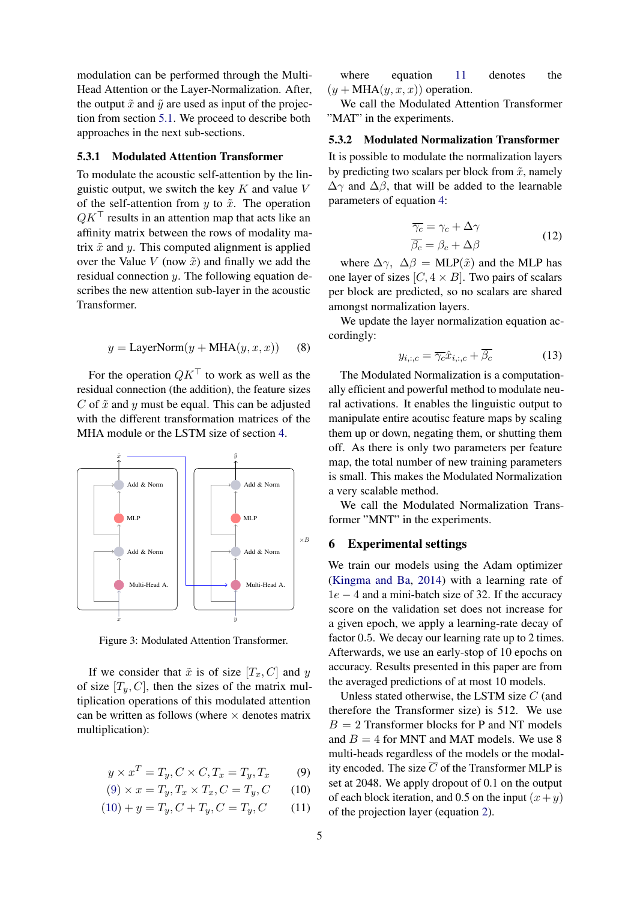modulation can be performed through the Multi-Head Attention or the Layer-Normalization. After, the output  $\tilde{x}$  and  $\tilde{y}$  are used as input of the projection from section [5.1.](#page-2-2) We proceed to describe both approaches in the next sub-sections.

#### 5.3.1 Modulated Attention Transformer

To modulate the acoustic self-attention by the linguistic output, we switch the key  $K$  and value  $V$ of the self-attention from y to  $\tilde{x}$ . The operation  $QK^{\top}$  results in an attention map that acts like an affinity matrix between the rows of modality matrix  $\tilde{x}$  and y. This computed alignment is applied over the Value  $V$  (now  $\tilde{x}$ ) and finally we add the residual connection  $y$ . The following equation describes the new attention sub-layer in the acoustic Transformer.

$$
y = \text{LayerNorm}(y + \text{MHA}(y, x, x)) \quad (8)
$$

For the operation  $QK^{\top}$  to work as well as the residual connection (the addition), the feature sizes C of  $\tilde{x}$  and y must be equal. This can be adjusted with the different transformation matrices of the MHA module or the LSTM size of section [4.](#page-2-0)



Figure 3: Modulated Attention Transformer.

If we consider that  $\tilde{x}$  is of size  $[T_x, C]$  and y of size  $[T_n, C]$ , then the sizes of the matrix multiplication operations of this modulated attention can be written as follows (where  $\times$  denotes matrix multiplication):

$$
y \times x^T = T_y, C \times C, T_x = T_y, T_x \tag{9}
$$

$$
(9) \times x = T_y, T_x \times T_x, C = T_y, C \qquad (10)
$$

$$
(10) + y = T_y, C + T_y, C = T_y, C \qquad (11)
$$

where equation [11](#page-4-3) denotes the  $(y + \text{MHA}(y, x, x))$  operation.

We call the Modulated Attention Transformer "MAT" in the experiments.

## 5.3.2 Modulated Normalization Transformer

It is possible to modulate the normalization layers by predicting two scalars per block from  $\tilde{x}$ , namely  $\Delta\gamma$  and  $\Delta\beta$ , that will be added to the learnable parameters of equation [4:](#page-3-1)

$$
\overline{\gamma_c} = \gamma_c + \Delta \gamma \n\overline{\beta_c} = \beta_c + \Delta \beta
$$
\n(12)

where  $\Delta \gamma$ ,  $\Delta \beta$  = MLP( $\tilde{x}$ ) and the MLP has one layer of sizes  $[C, 4 \times B]$ . Two pairs of scalars per block are predicted, so no scalars are shared amongst normalization layers.

We update the layer normalization equation accordingly:

$$
y_{i,:,c} = \overline{\gamma_c}\hat{x}_{i,:,c} + \overline{\beta_c} \tag{13}
$$

The Modulated Normalization is a computationally efficient and powerful method to modulate neural activations. It enables the linguistic output to manipulate entire acoutisc feature maps by scaling them up or down, negating them, or shutting them off. As there is only two parameters per feature map, the total number of new training parameters is small. This makes the Modulated Normalization a very scalable method.

We call the Modulated Normalization Transformer "MNT" in the experiments.

#### <span id="page-4-0"></span>6 Experimental settings

We train our models using the Adam optimizer [\(Kingma and Ba,](#page-8-15) [2014\)](#page-8-15) with a learning rate of  $1e - 4$  and a mini-batch size of 32. If the accuracy score on the validation set does not increase for a given epoch, we apply a learning-rate decay of factor 0.5. We decay our learning rate up to 2 times. Afterwards, we use an early-stop of 10 epochs on accuracy. Results presented in this paper are from the averaged predictions of at most 10 models.

<span id="page-4-3"></span><span id="page-4-2"></span><span id="page-4-1"></span>Unless stated otherwise, the LSTM size  $C$  (and therefore the Transformer size) is 512. We use  $B = 2$  Transformer blocks for P and NT models and  $B = 4$  for MNT and MAT models. We use 8 multi-heads regardless of the models or the modality encoded. The size  $\overline{C}$  of the Transformer MLP is set at 2048. We apply dropout of 0.1 on the output of each block iteration, and 0.5 on the input  $(x+y)$ of the projection layer (equation [2\)](#page-3-2).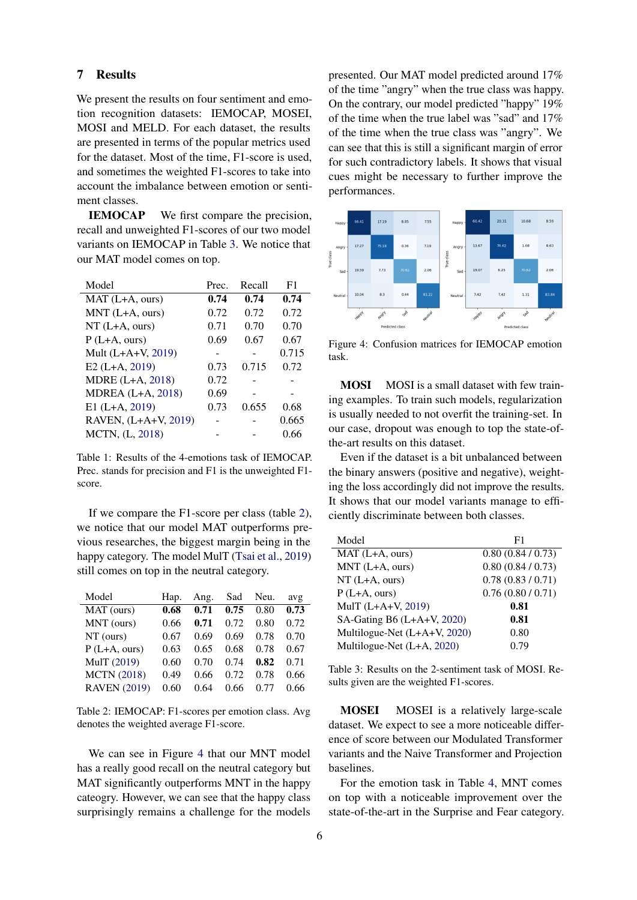#### <span id="page-5-0"></span>7 Results

We present the results on four sentiment and emotion recognition datasets: IEMOCAP, MOSEI, MOSI and MELD. For each dataset, the results are presented in terms of the popular metrics used for the dataset. Most of the time, F1-score is used, and sometimes the weighted F1-scores to take into account the imbalance between emotion or sentiment classes.

IEMOCAP We first compare the precision, recall and unweighted F1-scores of our two model variants on IEMOCAP in Table [3.](#page-5-1) We notice that our MAT model comes on top.

| Model                    | Prec. | Recall | F1    |
|--------------------------|-------|--------|-------|
| MAT (L+A, ours)          | 0.74  | 0.74   | 0.74  |
| $MNT$ (L+A, ours)        | 0.72  | 0.72   | 0.72  |
| $NT(L+A, ours)$          | 0.71  | 0.70   | 0.70  |
| $P(L+A, ours)$           | 0.69  | 0.67   | 0.67  |
| Mult (L+A+V, 2019)       |       |        | 0.715 |
| $E2(L+A, 2019)$          | 0.73  | 0.715  | 0.72  |
| MDRE (L+A, 2018)         | 0.72  |        |       |
| <b>MDREA</b> (L+A, 2018) | 0.69  |        |       |
| $E1(L+A, 2019)$          | 0.73  | 0.655  | 0.68  |
| RAVEN, (L+A+V, 2019)     |       |        | 0.665 |
| MCTN, (L, 2018)          |       |        | 0.66  |

Table 1: Results of the 4-emotions task of IEMOCAP. Prec. stands for precision and F1 is the unweighted F1 score.

If we compare the F1-score per class (table [2\)](#page-5-2), we notice that our model MAT outperforms previous researches, the biggest margin being in the happy category. The model MulT [\(Tsai et al.,](#page-8-5) [2019\)](#page-8-5) still comes on top in the neutral category.

<span id="page-5-2"></span>

| Model               | Hap. | Ang. | Sad  | Neu. | avg  |
|---------------------|------|------|------|------|------|
| MAT (ours)          | 0.68 | 0.71 | 0.75 | 0.80 | 0.73 |
| MNT (ours)          | 0.66 | 0.71 | 0.72 | 0.80 | 0.72 |
| $NT$ (ours)         | 0.67 | 0.69 | 0.69 | 0.78 | 0.70 |
| $P(L+A, ours)$      | 0.63 | 0.65 | 0.68 | 0.78 | 0.67 |
| MulT (2019)         | 0.60 | 0.70 | 0.74 | 0.82 | 0.71 |
| <b>MCTN (2018)</b>  | 0.49 | 0.66 | 0.72 | 0.78 | 0.66 |
| <b>RAVEN</b> (2019) | 0.60 | 0.64 | 0.66 | 0.77 | 0.66 |

Table 2: IEMOCAP: F1-scores per emotion class. Avg denotes the weighted average F1-score.

We can see in Figure [4](#page-5-3) that our MNT model has a really good recall on the neutral category but MAT significantly outperforms MNT in the happy cateogry. However, we can see that the happy class surprisingly remains a challenge for the models presented. Our MAT model predicted around 17% of the time "angry" when the true class was happy. On the contrary, our model predicted "happy" 19% of the time when the true label was "sad" and 17% of the time when the true class was "angry". We can see that this is still a significant margin of error for such contradictory labels. It shows that visual cues might be necessary to further improve the performances.

<span id="page-5-3"></span>

Figure 4: Confusion matrices for IEMOCAP emotion task.

MOSI MOSI is a small dataset with few training examples. To train such models, regularization is usually needed to not overfit the training-set. In our case, dropout was enough to top the state-ofthe-art results on this dataset.

Even if the dataset is a bit unbalanced between the binary answers (positive and negative), weighting the loss accordingly did not improve the results. It shows that our model variants manage to efficiently discriminate between both classes.

<span id="page-5-1"></span>

| Model                        | F1              |
|------------------------------|-----------------|
| MAT (L+A, ours)              | 0.80(0.84/0.73) |
| MNT (L+A, ours)              | 0.80(0.84/0.73) |
| $NT(L+A, ours)$              | 0.78(0.83/0.71) |
| $P(L+A, ours)$               | 0.76(0.80/0.71) |
| MulT (L+A+V, 2019)           | 0.81            |
| SA-Gating B6 (L+A+V, 2020)   | 0.81            |
| Multilogue-Net (L+A+V, 2020) | 0.80            |
| Multilogue-Net (L+A, 2020)   | 0.79            |
|                              |                 |

Table 3: Results on the 2-sentiment task of MOSI. Results given are the weighted F1-scores.

MOSEI MOSEI is a relatively large-scale dataset. We expect to see a more noticeable difference of score between our Modulated Transformer variants and the Naive Transformer and Projection baselines.

For the emotion task in Table [4,](#page-6-0) MNT comes on top with a noticeable improvement over the state-of-the-art in the Surprise and Fear category.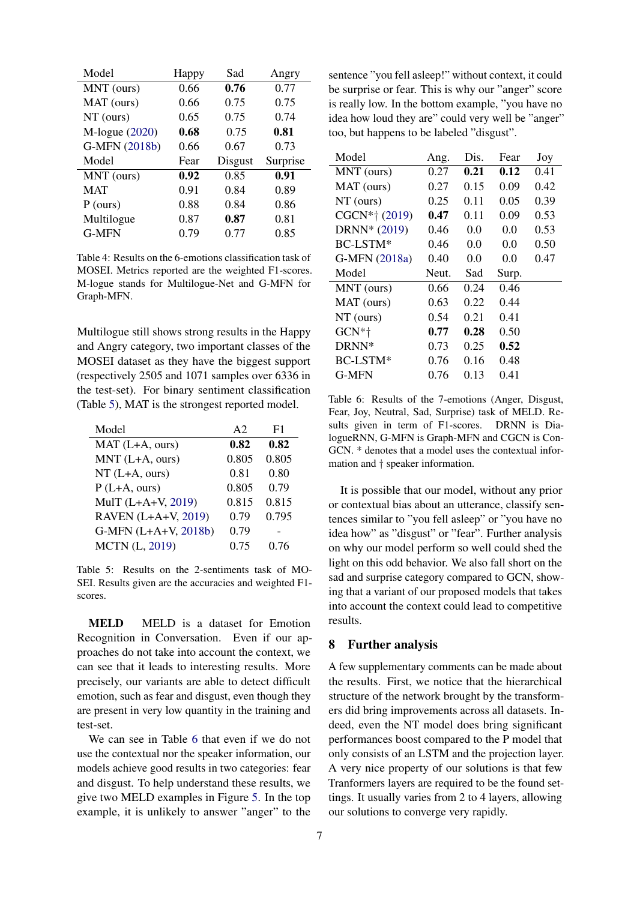<span id="page-6-0"></span>

| Model               | Happy | Sad     | Angry    |
|---------------------|-------|---------|----------|
| MNT (ours)          | 0.66  | 0.76    | 0.77     |
| MAT (ours)          | 0.66  | 0.75    | 0.75     |
| $NT$ (ours)         | 0.65  | 0.75    | 0.74     |
| $M$ -logue $(2020)$ | 0.68  | 0.75    | 0.81     |
| G-MFN (2018b)       | 0.66  | 0.67    | 0.73     |
|                     |       |         |          |
| Model               | Fear  | Disgust | Surprise |
| MNT (ours)          | 0.92  | 0.85    | 0.91     |
| <b>MAT</b>          | 0.91  | 0.84    | 0.89     |
| $P$ (ours)          | 0.88  | 0.84    | 0.86     |
| Multilogue          | 0.87  | 0.87    | 0.81     |

Table 4: Results on the 6-emotions classification task of MOSEI. Metrics reported are the weighted F1-scores. M-logue stands for Multilogue-Net and G-MFN for Graph-MFN.

Multilogue still shows strong results in the Happy and Angry category, two important classes of the MOSEI dataset as they have the biggest support (respectively 2505 and 1071 samples over 6336 in the test-set). For binary sentiment classification (Table [5\)](#page-6-1), MAT is the strongest reported model.

<span id="page-6-1"></span>

| Model                 | A2    | F1    |
|-----------------------|-------|-------|
| $MAT(L+A, ours)$      | 0.82  | 0.82  |
| MNT (L+A, ours)       | 0.805 | 0.805 |
| $NT(L+A, ours)$       | 0.81  | 0.80  |
| $P(L+A, ours)$        | 0.805 | 0.79  |
| MulT (L+A+V, 2019)    | 0.815 | 0.815 |
| RAVEN (L+A+V, 2019)   | 0.79  | 0.795 |
| G-MFN (L+A+V, 2018b)  | 0.79  |       |
| <b>MCTN</b> (L, 2019) | 0.75  | 0.76  |

Table 5: Results on the 2-sentiments task of MO-SEI. Results given are the accuracies and weighted F1 scores.

MELD MELD is a dataset for Emotion Recognition in Conversation. Even if our approaches do not take into account the context, we can see that it leads to interesting results. More precisely, our variants are able to detect difficult emotion, such as fear and disgust, even though they are present in very low quantity in the training and test-set.

We can see in Table [6](#page-6-2) that even if we do not use the contextual nor the speaker information, our models achieve good results in two categories: fear and disgust. To help understand these results, we give two MELD examples in Figure [5.](#page-7-0) In the top example, it is unlikely to answer "anger" to the

<span id="page-6-2"></span>

| Ang.  | Dis. | Fear  | Joy  |
|-------|------|-------|------|
| 0.27  | 0.21 | 0.12  | 0.41 |
| 0.27  | 0.15 | 0.09  | 0.42 |
| 0.25  | 0.11 | 0.05  | 0.39 |
| 0.47  | 0.11 | 0.09  | 0.53 |
| 0.46  | 0.0  | 0.0   | 0.53 |
| 0.46  | 0.0  | 0.0   | 0.50 |
| 0.40  | 0.0  | 0.0   | 0.47 |
| Neut. | Sad  | Surp. |      |
| 0.66  | 0.24 | 0.46  |      |
| 0.63  | 0.22 | 0.44  |      |
| 0.54  | 0.21 | 0.41  |      |
| 0.77  | 0.28 | 0.50  |      |
| 0.73  | 0.25 | 0.52  |      |
| 0.76  | 0.16 | 0.48  |      |
| 0.76  | 0.13 | 0.41  |      |
|       |      |       |      |

Table 6: Results of the 7-emotions (Anger, Disgust, Fear, Joy, Neutral, Sad, Surprise) task of MELD. Results given in term of F1-scores. DRNN is DialogueRNN, G-MFN is Graph-MFN and CGCN is Con-GCN. \* denotes that a model uses the contextual information and † speaker information.

It is possible that our model, without any prior or contextual bias about an utterance, classify sentences similar to "you fell asleep" or "you have no idea how" as "disgust" or "fear". Further analysis on why our model perform so well could shed the light on this odd behavior. We also fall short on the sad and surprise category compared to GCN, showing that a variant of our proposed models that takes into account the context could lead to competitive results.

## 8 Further analysis

A few supplementary comments can be made about the results. First, we notice that the hierarchical structure of the network brought by the transformers did bring improvements across all datasets. Indeed, even the NT model does bring significant performances boost compared to the P model that only consists of an LSTM and the projection layer. A very nice property of our solutions is that few Tranformers layers are required to be the found settings. It usually varies from 2 to 4 layers, allowing our solutions to converge very rapidly.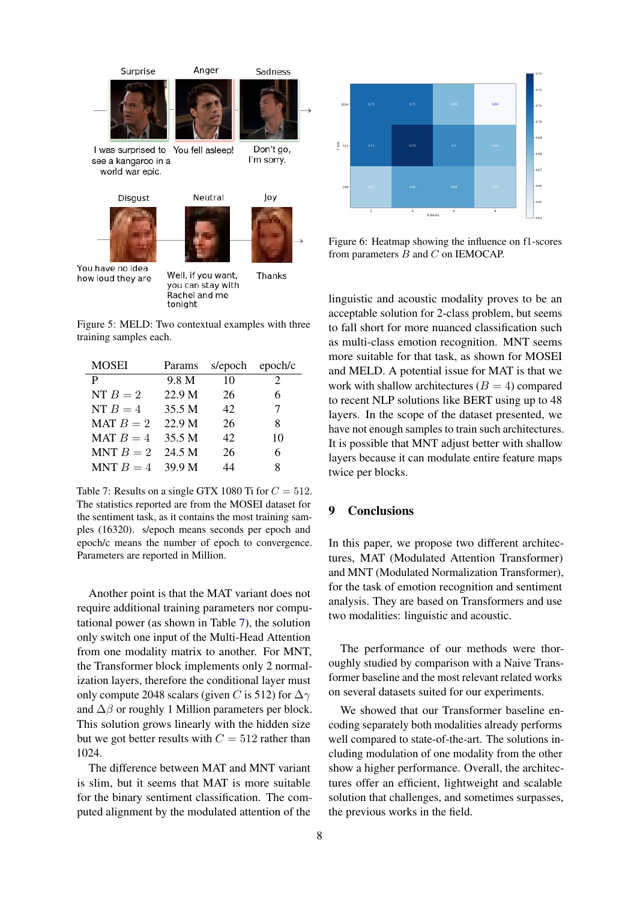<span id="page-7-0"></span>

Figure 5: MELD: Two contextual examples with three training samples each.

<span id="page-7-1"></span>

| <b>MOSEI</b> | Params | s/epoch | epoch/c |
|--------------|--------|---------|---------|
| P            | 9.8 M  | 10      | 2       |
| NT $B=2$     | 22.9 M | 26      | 6       |
| NT $B=4$     | 35.5 M | 42      | 7       |
| MAT $B=2$    | 22.9 M | 26      | 8       |
| MAT $B = 4$  | 35.5 M | 42      | 10      |
| MNT $B=2$    | 24.5 M | 26      | 6       |
| MNT $B=4$    | 39.9 M | 44      | 8       |

Table 7: Results on a single GTX 1080 Ti for  $C = 512$ . The statistics reported are from the MOSEI dataset for the sentiment task, as it contains the most training samples (16320). s/epoch means seconds per epoch and epoch/c means the number of epoch to convergence. Parameters are reported in Million.

Another point is that the MAT variant does not require additional training parameters nor computational power (as shown in Table [7\)](#page-7-1), the solution only switch one input of the Multi-Head Attention from one modality matrix to another. For MNT, the Transformer block implements only 2 normalization layers, therefore the conditional layer must only compute 2048 scalars (given C is 512) for  $\Delta\gamma$ and  $\Delta\beta$  or roughly 1 Million parameters per block. This solution grows linearly with the hidden size but we got better results with  $C = 512$  rather than 1024.

The difference between MAT and MNT variant is slim, but it seems that MAT is more suitable for the binary sentiment classification. The computed alignment by the modulated attention of the



Figure 6: Heatmap showing the influence on f1-scores from parameters B and C on IEMOCAP.

linguistic and acoustic modality proves to be an acceptable solution for 2-class problem, but seems to fall short for more nuanced classification such as multi-class emotion recognition. MNT seems more suitable for that task, as shown for MOSEI and MELD. A potential issue for MAT is that we work with shallow architectures  $(B = 4)$  compared to recent NLP solutions like BERT using up to 48 layers. In the scope of the dataset presented, we have not enough samples to train such architectures. It is possible that MNT adjust better with shallow layers because it can modulate entire feature maps twice per blocks.

# 9 Conclusions

In this paper, we propose two different architectures, MAT (Modulated Attention Transformer) and MNT (Modulated Normalization Transformer), for the task of emotion recognition and sentiment analysis. They are based on Transformers and use two modalities: linguistic and acoustic.

The performance of our methods were thoroughly studied by comparison with a Naive Transformer baseline and the most relevant related works on several datasets suited for our experiments.

We showed that our Transformer baseline encoding separately both modalities already performs well compared to state-of-the-art. The solutions including modulation of one modality from the other show a higher performance. Overall, the architectures offer an efficient, lightweight and scalable solution that challenges, and sometimes surpasses, the previous works in the field.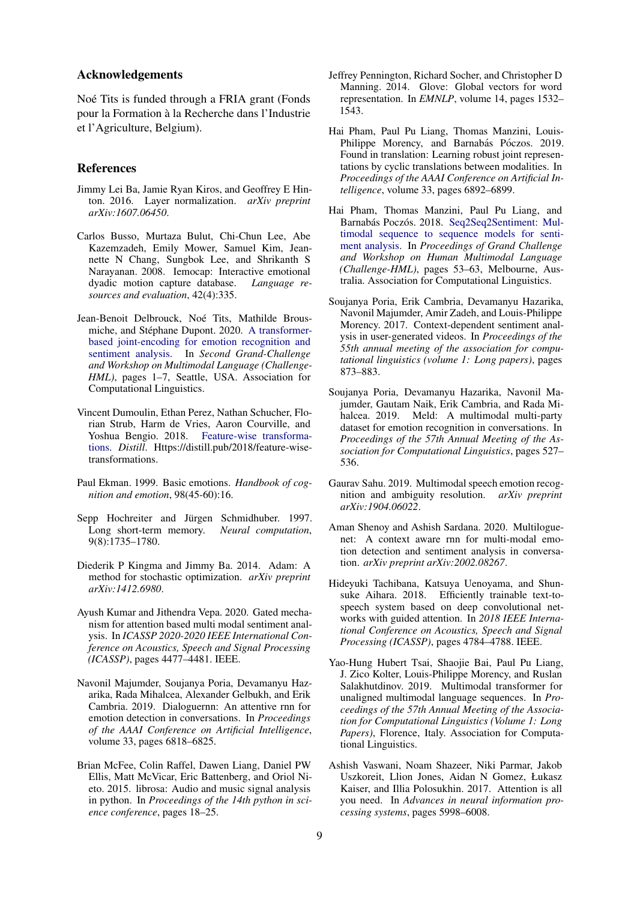#### Acknowledgements

Noé Tits is funded through a FRIA grant (Fonds pour la Formation a la Recherche dans l'Industrie ` et l'Agriculture, Belgium).

#### References

- <span id="page-8-14"></span>Jimmy Lei Ba, Jamie Ryan Kiros, and Geoffrey E Hinton. 2016. Layer normalization. *arXiv preprint arXiv:1607.06450*.
- <span id="page-8-7"></span>Carlos Busso, Murtaza Bulut, Chi-Chun Lee, Abe Kazemzadeh, Emily Mower, Samuel Kim, Jeannette N Chang, Sungbok Lee, and Shrikanth S Narayanan. 2008. Iemocap: Interactive emotional dyadic motion capture database. *Language resources and evaluation*, 42(4):335.
- <span id="page-8-6"></span>Jean-Benoit Delbrouck, Noé Tits, Mathilde Brous-miche, and Stéphane Dupont. 2020. [A transformer](https://doi.org/10.18653/v1/2020.challengehml-1.1)[based joint-encoding for emotion recognition and](https://doi.org/10.18653/v1/2020.challengehml-1.1) [sentiment analysis.](https://doi.org/10.18653/v1/2020.challengehml-1.1) In *Second Grand-Challenge and Workshop on Multimodal Language (Challenge-HML)*, pages 1–7, Seattle, USA. Association for Computational Linguistics.
- <span id="page-8-2"></span>Vincent Dumoulin, Ethan Perez, Nathan Schucher, Florian Strub, Harm de Vries, Aaron Courville, and Yoshua Bengio. 2018. [Feature-wise transforma](https://doi.org/10.23915/distill.00011)[tions.](https://doi.org/10.23915/distill.00011) *Distill*. Https://distill.pub/2018/feature-wisetransformations.
- <span id="page-8-8"></span>Paul Ekman. 1999. Basic emotions. *Handbook of cognition and emotion*, 98(45-60):16.
- <span id="page-8-0"></span>Sepp Hochreiter and Jürgen Schmidhuber. 1997. Long short-term memory. *Neural computation*, 9(8):1735–1780.
- <span id="page-8-15"></span>Diederik P Kingma and Jimmy Ba. 2014. Adam: A method for stochastic optimization. *arXiv preprint arXiv:1412.6980*.
- <span id="page-8-18"></span>Ayush Kumar and Jithendra Vepa. 2020. Gated mechanism for attention based multi modal sentiment analysis. In *ICASSP 2020-2020 IEEE International Conference on Acoustics, Speech and Signal Processing (ICASSP)*, pages 4477–4481. IEEE.
- <span id="page-8-19"></span>Navonil Majumder, Soujanya Poria, Devamanyu Hazarika, Rada Mihalcea, Alexander Gelbukh, and Erik Cambria. 2019. Dialoguernn: An attentive rnn for emotion detection in conversations. In *Proceedings of the AAAI Conference on Artificial Intelligence*, volume 33, pages 6818–6825.
- <span id="page-8-13"></span>Brian McFee, Colin Raffel, Dawen Liang, Daniel PW Ellis, Matt McVicar, Eric Battenberg, and Oriol Nieto. 2015. librosa: Audio and music signal analysis in python. In *Proceedings of the 14th python in science conference*, pages 18–25.
- <span id="page-8-11"></span>Jeffrey Pennington, Richard Socher, and Christopher D Manning. 2014. Glove: Global vectors for word representation. In *EMNLP*, volume 14, pages 1532– 1543.
- <span id="page-8-4"></span>Hai Pham, Paul Pu Liang, Thomas Manzini, Louis-Philippe Morency, and Barnabás Póczos. 2019. Found in translation: Learning robust joint representations by cyclic translations between modalities. In *Proceedings of the AAAI Conference on Artificial Intelligence*, volume 33, pages 6892–6899.
- <span id="page-8-17"></span>Hai Pham, Thomas Manzini, Paul Pu Liang, and Barnabás Poczós. 2018. [Seq2Seq2Sentiment: Mul](https://doi.org/10.18653/v1/W18-3308)[timodal sequence to sequence models for senti](https://doi.org/10.18653/v1/W18-3308)[ment analysis.](https://doi.org/10.18653/v1/W18-3308) In *Proceedings of Grand Challenge and Workshop on Human Multimodal Language (Challenge-HML)*, pages 53–63, Melbourne, Australia. Association for Computational Linguistics.
- <span id="page-8-9"></span>Soujanya Poria, Erik Cambria, Devamanyu Hazarika, Navonil Majumder, Amir Zadeh, and Louis-Philippe Morency. 2017. Context-dependent sentiment analysis in user-generated videos. In *Proceedings of the 55th annual meeting of the association for computational linguistics (volume 1: Long papers)*, pages 873–883.
- <span id="page-8-10"></span>Soujanya Poria, Devamanyu Hazarika, Navonil Majumder, Gautam Naik, Erik Cambria, and Rada Mihalcea. 2019. Meld: A multimodal multi-party dataset for emotion recognition in conversations. In *Proceedings of the 57th Annual Meeting of the Association for Computational Linguistics*, pages 527– 536.
- <span id="page-8-16"></span>Gaurav Sahu. 2019. Multimodal speech emotion recognition and ambiguity resolution. *arXiv preprint arXiv:1904.06022*.
- <span id="page-8-3"></span>Aman Shenoy and Ashish Sardana. 2020. Multiloguenet: A context aware rnn for multi-modal emotion detection and sentiment analysis in conversation. *arXiv preprint arXiv:2002.08267*.
- <span id="page-8-12"></span>Hideyuki Tachibana, Katsuya Uenoyama, and Shunsuke Aihara. 2018. Efficiently trainable text-tospeech system based on deep convolutional networks with guided attention. In *2018 IEEE International Conference on Acoustics, Speech and Signal Processing (ICASSP)*, pages 4784–4788. IEEE.
- <span id="page-8-5"></span>Yao-Hung Hubert Tsai, Shaojie Bai, Paul Pu Liang, J. Zico Kolter, Louis-Philippe Morency, and Ruslan Salakhutdinov. 2019. Multimodal transformer for unaligned multimodal language sequences. In *Proceedings of the 57th Annual Meeting of the Association for Computational Linguistics (Volume 1: Long Papers)*, Florence, Italy. Association for Computational Linguistics.
- <span id="page-8-1"></span>Ashish Vaswani, Noam Shazeer, Niki Parmar, Jakob Uszkoreit, Llion Jones, Aidan N Gomez, Łukasz Kaiser, and Illia Polosukhin. 2017. Attention is all you need. In *Advances in neural information processing systems*, pages 5998–6008.